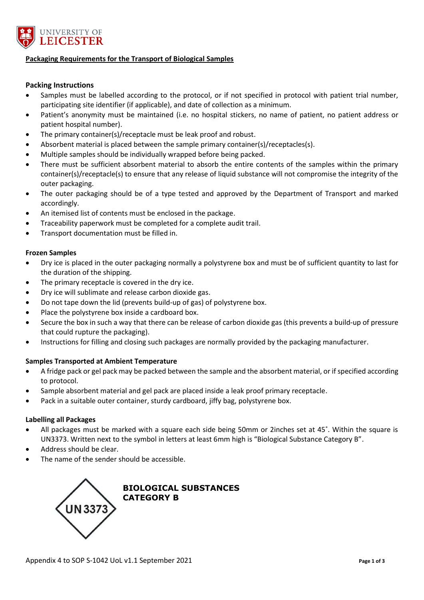

## **Packaging Requirements for the Transport of Biological Samples**

### **Packing Instructions**

- Samples must be labelled according to the protocol, or if not specified in protocol with patient trial number, participating site identifier (if applicable), and date of collection as a minimum.
- Patient's anonymity must be maintained (i.e. no hospital stickers, no name of patient, no patient address or patient hospital number).
- The primary container(s)/receptacle must be leak proof and robust.
- Absorbent material is placed between the sample primary container(s)/receptacles(s).
- Multiple samples should be individually wrapped before being packed.
- There must be sufficient absorbent material to absorb the entire contents of the samples within the primary container(s)/receptacle(s) to ensure that any release of liquid substance will not compromise the integrity of the outer packaging.
- The outer packaging should be of a type tested and approved by the Department of Transport and marked accordingly.
- An itemised list of contents must be enclosed in the package.
- Traceability paperwork must be completed for a complete audit trail.
- Transport documentation must be filled in.

#### **Frozen Samples**

- Dry ice is placed in the outer packaging normally a polystyrene box and must be of sufficient quantity to last for the duration of the shipping.
- The primary receptacle is covered in the dry ice.
- Dry ice will sublimate and release carbon dioxide gas.
- Do not tape down the lid (prevents build-up of gas) of polystyrene box.
- Place the polystyrene box inside a cardboard box.
- Secure the box in such a way that there can be release of carbon dioxide gas (this prevents a build-up of pressure that could rupture the packaging).
- Instructions for filling and closing such packages are normally provided by the packaging manufacturer.

#### **Samples Transported at Ambient Temperature**

- A fridge pack or gel pack may be packed between the sample and the absorbent material, or if specified according to protocol.
- Sample absorbent material and gel pack are placed inside a leak proof primary receptacle.
- Pack in a suitable outer container, sturdy cardboard, jiffy bag, polystyrene box.

#### **Labelling all Packages**

- All packages must be marked with a square each side being 50mm or 2inches set at 45˚. Within the square is UN3373. Written next to the symbol in letters at least 6mm high is "Biological Substance Category B".
- Address should be clear.
- The name of the sender should be accessible.

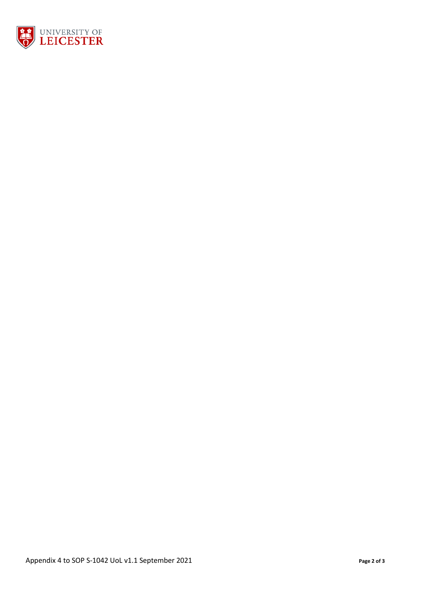